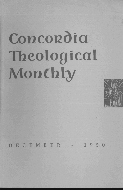# **Concordia Theological Monthly**



DECEMBER • 1950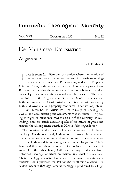## Concordia Theological Monthly

VOL. XXI DECEMBER 1950 NO. 12

# **De** Ministerio Ecclesiastico

Augustana V

By F. E. MAYER

There is room for differences of opinion where the doctrine of the means of grace may be best discussed in a textbook on dogmatics, whether under the Prolegomena, under the Prophetic Office of Christ, in the article on the Church, or as a separate *locus.*  But it is essential that the indissoluble connection between the doctrines of justification and the means of grace be preserved. The order established by the Augustana must be maintained, for grace and faith are correlative terms. Article IV presents justification by faith, and Article V very properly continues: "That we may obtain this faith [described in Article IV}, the ministry of teaching the Gospel and administering the Sacraments was instituted." In passing it might be mentioned that the title "Of the Ministry" is misleading, since the article actually speaks of the means of grace and answers the all-important question: How is faith engendered?

The doctrine of the means of grace is central in Lutheran theology. On the one hand, Lutheranism is distinct from Romanism with its sacramentalism and sacerdotalism. Rome anathematized the Lutheran definition of grace as *favor Dei propter Christum*,<sup>1</sup> and therefore there is no need of a doctrine of the means of *grace.* On the other hand, Lutheran theology is distinct from Reformed theology, of which enthusiasm is a chief characteristic. Liberal theology is a natural outcome of the sixteenth-century enthusiasm, for it prepared the soil for the pantheistic mysticism of Schleiermacher's theology. Liberal theology is predicated to a large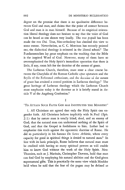degree on the premise that there is no qualitative difference between God and man, and claims that the point of contact between God and man is in man himself. Because of its empirical orientation liberal theology does not hesitate to say that the voice of God can be heard as one shouts very loudly. The *vox populi* has been made the *vox Dei.* True, Neo-orthodoxy has checked this view to some extent. Nevertheless, as C. C. Morrison has recently pointed out, the dialectical theology is oriented in the liberal schoo1.2 The Fundamentalists lay great emphasis on the teaching that the Bible *is* the inspired Word of God. However, many of them have so overemphasized the Holy Spirit's immediate operation that there is little, if any, room left for the doctrine of the means of grace.

The Lutheran Church, therefore, must steer a clear course between the Charybdis of the Roman Catholic *opus operatum* and the Scylla of the Reformed enthusiasm, and the doctrine of the means of grace has attained a central position in Lutheran theology.<sup>3</sup> The great heritage of Lutheran theology which the Lutheran Church must emphasize today is the doctrine as it is briefly stated in Article V of the Augsburg Confession.<sup>4</sup>

#### I

#### "To ATTAIN SUCH FAITH GOD HAS INSTITUTED THE MINISTRY"

1. All Christians are agreed that only the Holy Spirit can engender faith. All Christians believe implicitly with St. Paul (Eph. 2: 1) that by nature man is totally blind, dead, and an enemy of God; that the natural man can understand nothing of the Spirit of God, and that the Gospel is foolishness to him. Luther had to emphasize this truth against the egocentric doctrine of Rome. He did so particularly in his famous *De Servo Arbitrio,* where every capacity for good in spiritual things is denied to natural man. $5$  In line with its basic principle, Rome believes that natural man must be credited with having so many spiritual powers as will enable him to know God without the work of the Holy Spirit. Neo-Thomists, such as J. Maritain, Christopher Dawson, hold that man can find God by employing his natural abilities and the God-given supernatural gifts. This is practically the same view which Moehler held when he said that the fear of the pagan may be defined as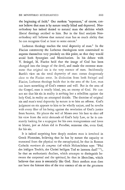the beginning of faith.<sup>6</sup> Our modern "superman," of course, cannot believe that man is by nature totally blind and depraved. Neoorthodoxy has indeed denied to natural man the abilities which liberal theology ascribed to him. But in the final analysis Neoorthodoxy still believes that natural man has so much ability that he can recognize God at least to some extent.7

Lutheran theology teaches the total depravity of man.<sup>8</sup> In the Flacian controversy the Lutheran theologians were constrained to express themselves very precisely on this point, so that they would avoid both Synergism and Manichaeism. In his debate with V. Striegel, M. Flacius held that the image of God has been changed into the image of the devil, and made the extreme statement that original sin is the very essence of man. Incidentally Barth's view on the total depravity of man comes dangerously close to the Flacian error. In distinction from both Striegel and Flacius, Lutheran theology holds that in the area of the Law, man can learn something of God's essence and will. But in the area of the Gospel, man is totally blind, yes, an enemy of God. He cannot see that his sin in reality is nothing but a rebellion against the holy God, in reality an attempted deicide. The doctrine of original sin and man's total depravity by nature is to him an offense. God's judgment on sin appears to him to be wholly unjust, and he revolts with every fiber of his being against the revelation of God's justice from heaven. He places the veil of Moses over his face to shut off his view from the strict demands of God's holy Law, or he is constantly looking for a scapegoat for his own transgressions and loves to blame, just as Adam did in Paradise, someone else, even God, for his sin.

It is indeed surprising how deeply modern man is involved in Greek Platonism, believing that he has by nature the capacity to transcend from the physical to the metaphysical, be that in Roman Catholic *meritum de congruo* (of which Melanchthon says: "Pfui des leidigen Teufels, der Christi heiligen Tod so laestern darf!" 9), be that an enthusiastic dualism, which attempts to distinguish between the corporeal and the spiritual, be that in liberalism, which believes that man is essentially like God. Since modern man does not have the faintest idea of the true essence of sin or the greatness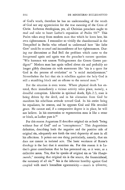of God's wrath, therefore he has no understanding of the wrath of God nor any appreciation for the true meaning of the Cross of Christ. Lutheran theologians, yes, all Christian preachers ought to read and take to heart Luther's exposition of Psalm 90.10 This Psalm takes away from modern man that which he loves best, his own righteousness. I remember so vividly the chambermaid in the Tempelhof in Berlin who refused to understand how "der liebe Gott" could be so cruel and inconsiderate of her righteousness. During our discussions at Bad Boll the problem which came to the foreground again and again was the preacher's earnest question: "Wie koennen wir unsern Volksgenossen das Gesetz Gottes predigen?" Modern man has again talked about sin and probably no longer glibly dismisses sin with statements like "sin is a quest for God in the process of evolution" or "a social maladjustment." Nevertheless the fact that sin is rebellion against the holy God is still a stumbling block and an offense to the natural man.<sup>11</sup>

But the situation is even worse. Where physical death has entered, there immediately a vicious activity takes place, namely, a dreadful corruption. Likewise in spiritual death, Eph. 2:3, man is being driven by the devil, and in his alienation from God he manifests his rebellious attitude toward God. In his entire being he repudiates, he resents, and he opposes God and His revealed grace. He cannot and, if a comparative degree is in place, he will not believe. In his conversion or regeneration man is like a stone or block, as Luther puts it.12

For this reason Augustana II describes original sin as both "being without fear of God" and as "concupiscence." This Augustinian definition, describing both the negative and the positive side of original sin, adequately sets forth the total depravity of man in all his affections. It points out one thing particularly, namely, that sin does not consist in isolated acts. The basic weakness of Rome's theology is the fact that it atomizes sin. For this reason it is Luther's great contribution that he has presented sin, as it were, as a collective noun. Yes, that he speaks of original sin as *"die Hauptsuende,"* meaning that original sin is the source, the fountainhead, the summary of all sin.13 Sin is the inherent hostility against God coupled with man's boundless egocentricity - man's is  $\varphi$ *ilautos*,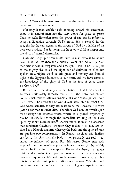2 Tim.  $3:2$  — which manifests itself in the wicked fruits of unbelief and all manner of sin.

Not only is man unable to do anything toward his conversion, there *is* in natural man not the least desire for grace as grace. True, he seeks liberation from the power of sin, but he refuses to accept a liberation through God's grace. He *is* steeped in the thought that he can ascend to the throne of God by a ladder of his own construction. But in doing this he is only sinking deeper into the abyss of eternal destruction.

Only the Holy Spirit can create faith in man, who is by nature dead. Nothing less than the almighty power of God can quicken man who is dead in trespasses and sins, Eph. 1:19; 1 Cor. 12:3. Just as the mighty *fiat* called the light out of darkness, so God has spoken an almighty word of His grace and thereby has kindled light in the Egyptian blindness of our heart, and we have come to the knowledge of the glory of God in the face of Jesus Christ  $(2 \text{Cor. } 4:6).^{14}$ 

But we must maintain just as emphatically that God does His gracious work solely through means. All the Reformed church bodies which follow Calvin's principle of God's sovereign will hold that it would be unworthy of God if man were able to resist God. God would actually, so they say, cease to be the Absolute if it were possible for man to resist Him. Therefore God does not work upon man through the external Word, which, as is proved empirically, can be resisted, but through the immediate working of the Holy Spirit by inner illumination.<sup>15</sup> Furthermore, it must be observed that consistent Calvinists, whether they realize it or not, are inclined to a Platonic dualism, whereby the body and the spirit of man are put into two compartments. **In** Roman theology this dualism has led to the view that the body--not primarily the soul-requires the infusion of grace. For this reason Rome puts such emphasis on the *ex-opere-operato-efficacy* theory of the visible means. **In** Calvinism the emphasis lies on the theory that man's spirit is the predominant part of man and that man therefore does not require audible and visible means. It seems to us that this is one of the basic points of difference between Calvinism and Lutheranism in the doctrine of the means of grace, especially con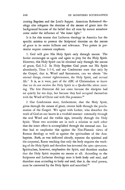cerning Baptism and the Lord's Supper. American Reformed theology also relegates the doctrine of the means of grace into the background because of the belief that all men by nature somehow come under the influence of "the inner light."

It is for this reason that Lutheran theology in America has the specific mission to present the Scriptural doctrine on the means of grace in its entire fullness and relevance. Two points in particular require constant emphasis.

1. God will give His Holy Spirit only through means. The Savior encourages us again and again to pray for the Holy Spirit. However, this Holy Spirit can be obtained only through the means of grace, Gal. 3:2. In Holy Baptism God pours out His Spirit abundantly, Titus 3:5-6, and our Confessions state that only by the Gospel, that is, Word and Sacraments, can we obtain "the eternal things, eternal righteousness, the Holy Spirit, and eternal life." It *is,* as *it* were, part of the ABC of Christendom to know that we do not receive the Holy Spirit in a Quakerlike silent meeting. The first Pentecost did not come because the disciples had sat quietly for ten days, but because they had occupied themselves with the Word of Christ and with His promises.<sup>16</sup>

2. Our Confessions state, furthermore, that the Holy Spirit, given through the means of grace, creates faith through the proclamation of the Gospel. We agree with Luther, who describes the work of God on our hearts in a twofold manner: externally through the oral Word and the visible sign, inwardly through the Holy Spirit. These two activities are in such a relation to each other that the inner effect is accomplished through the external one. Luther had to emphasize this against the Neo-Platonic views of Roman theology as well as against the spiritualism of the Anabaptists. Both, as was indicated already, separate the spiritual and the corporeal, Rome teaching that only the body requires the working of the Holy Spirit and therefore has invented the *opus operatum;*  Spiritualism, however, emphasizes the Spirit, and therefore teaches that the Holy Spirit requires no means at all. According to the Scriptures and Lutheran theology man is both body and soul, and therefore man according to body and soul, that is, the total person, must be converted by the Holy Spirit and sanctified.<sup>17</sup>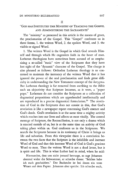### "GOD HAS INSTITUTED THE MINISTRY OF TEACHING THE GOSPEL AND ADMINISTERING THE SACRAMENTS"

The "ministry" as presented in this article is the means of grace, the proclamation of the Gospel. This "Gospel" confronts us in three forms, 1. the written Word, 2. the spoken Word, and 3. the visible or signed Word.

1. The written Word is the Gospel in which God reveals Himself and through which He engenders faith in the heart of man. Lutheran theologians have sometimes been accused of so emphasizing a so-called "static" view of the Scriptures that they have lost sight of the "dynamic" character of the GospeL The charge is also phrased as follows: Orthodox Lutheran theology is so concerned to maintain the inerrancy of the written Word that it has ignored the power of the oral proclamation and finds great difficulty in understanding the New Testament concept of the *kerygma.*  But Lutheran theology *is* far removed from ascribing to the Bible such an objectivity that Scripture becomes, as it were, a "paper pope." Lutherans do not consider the Scriptures as a collection of dogmatical propositions which are apprehended intellectually and are reproduced in a precise dogmatical formulation.<sup>18</sup> The revelation of God in the Scriptures does not consist in this, that God's revelation *is* like a newspaper report concerning God's essence and God's deeds. God's revelation *is* at the same time a mighty activity which reaches into our lives and affects us most vitally. The central message of Scripture, the Reconciliation, is not only a drama which is enacted outside of us, but is at the same time an activity of God taking place within us. God confronts us in the Scriptures. We search the Scriptures because in its testimony of Christ it brings us life and salvation. From this viewpoint there is a correlation between the two facts that the Scripture is the infallible and inerrant Word of God and that this inerrant Word of God is God's gracious Word to man. Thus the written Word is not a dead letter, but it is spirit and life. This is what Luther had in mind, when he said:

Hiernaechst, dass uns nicht jemand betruege, so sagt Johannes abermal wider die Schwaermer, er schreibe dieses: "Solches habe ich euch geschrieben." Der Buchstabe ist bei ihnen ein totes Wesen auf dem Papier. Johannes aber spricht: Ich schreibe euch,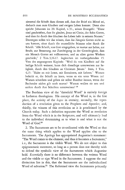sintemal die Schrift dazu dienen soIl, dass der Brief ein Mittel sei, dadurch man zum Glauben und ewigen Leben kommt. Denn also spricht Johannes im 20. Kapitel, v.31., seines Evangelii: "Diese sind geschrieben, dass ihr glaubet, Jesus sei Christ, der Sohn Gottes, und dass ihr durch den Glauben das Leben habt in seinem Namen." Deswegen sollen wir das wissen, dass das Zeugnis Gottes nicht zu uns kommt, ohne durch die muendliche Stimme oder durch die Schrift. "AUe Schrift, von Gott eingegeben, ist nuetze zur Lehre, zur Strafe, zur Besserung, zur Zuechtigung in der Gerechtigkeit, dass ein Mensch Gottes sei vollkommen, und zu allen guten Werken geschickt," 2 Tim. 3,16.17. Ingleichen im vorhergehenden 15. Vers des angezogenen Kapitels: "Weil du von Kindheit auf die heilige Schrift weissest, kann dich dieselbige unterweisen zur Seligkeit, durch den Glauben an Christum Jesum." Item, 1 Tim. 4,13: "Halte an mit Lesen, mit Ermahnen, mit Lehren." Warum befiehlt er, die Schrift zu lesen, wenn es ein totes Wesen *ist?*  Warum schreiben und geben sie selbst Buecher heraus, wenn der Buchstabe nichts gilt noch nuetzt? Warum wollen sie uns und andere durch ihre Schriften unterweisen? 19

The Barthian view of the "threefold Word" is entirely foreign to Lutheran theologians. His concept of the Word is, in the first place, the activity of the *logos* in eternity; secondly, the reproduction of a revelation given to the Prophets and Apostles; and, thirdly, the witness of this revelation as it is proclaimed by the Church today. Such a definition separates the Word as revelation from the Word which is in the Scriptures, and will ultimately lead to the individual determining as to what is and what is not the Word of God.20

2. The Sacraments are to be co-ordinated with the Word so that the same thing which applies to the Word applies also to the Sacraments. The Apology has appropriated Augustine's statement: "The Word comes to the element, and thus it becomes a Sacrament," i. *e.,* the Sacrament is the visible Word. We do not object to this epigrammatic statement, so long as a person does not thereby wish to defend the symbolic view of the Sacraments which Augustine held. *Essentially* there is no difference between the written Word and the visible or sign Word in the Sacraments. I suppose the real distinction lies in this, that the Sacraments are the individualized Word of salvation.21 The Reformed view the Sacraments primarily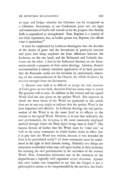as signs and badges whereby the Christian can be recognized as a Christian. Sacraments, as our Confessions point out, are signs and testimonies of God's will toward us for the purpose that thereby faith is engendered or strengthened. True, Baptism is a symbol of our daily repentance, but, as Luther points out, Baptism also effects what it symbolizes.<sup>22</sup>

It must be emphasized by Lutheran theologians that the doctrine of the means of grace and the Sacraments in particular uncover and place into sharp emphasis the basic difference between the Lutheran, on the one hand, and the Reformed and Catholic doctrines, on the other. I find in the Reformed doctrine on the Sacraments merely a symptom of their entire theology. Likewise, Rome's sacramentalism is merely consistent application of its basic premise that the Romanist works out his salvation by meticulously observing all the commandments of the Church, for which obedience he receives strength from the Sacraments.

3. Because man finds it so difficult to accept the rich treasures of God's grace in true faith, therefore God has many ways to reveal His gracious will to men. In addition to the written and the signed Word, God has also given us the spoken Word. The sequence in which the three forms of the Word are presented in this article does not in any way imply or indicate that the spoken Word is the least important and effective. In Lutheran theology the oral proclamation of the Word is on the same level in its efficacy as the written or the signed Word. However, it is true that ordinarily the oral proclamation, the *kerygma,* is the most commonly employed method through which the Holy Spirit brings men to faith.<sup>23</sup> The famous dictum of Luther that the Word must be "cried out," as well as the many statements in which Luther states in effect that it is pity that the Word was written, because it was intended by God to be proclaimed orally, $24$  all these statements must be understood in the light of their historic setting. Probably two things are sometimes overlooked when men call upon Luther as their authority for stressing the oral proclamation to the exclusion of the written Word. First, Aristotelian scholastics saw in the sentences of the dogmaticians a logically well organized *corpus doctrinae*. Against this view Luther was compelled to say that the Gospel is not a philosophical system to be comprehended by the intellect, but God's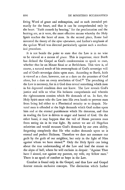living Word of grace and redemption, and as such intended primarily for the heart, and that it can be comprehended only by the heart. "Faith cometh by hearing," for the proclamation and the hearing are, as it were, the most effective means whereby the Holy Spirit reaches the heart of man. In the second place, Rome had invented the theory of the *opus operatum,* and Luther's emphasis of the spoken Word was directed particularly against such a mechanical procedure.

It is not beside the point to state that the Law is in no wise to be viewed as a means of *grace.* This is important, since Barth has defined the Gospel as God's condescension to speak to man, whether that be on Mount Sinai or at Bethlehem. This view is, of course, a natural result of his overemphasis of God's sovereign will and of God's sovereign claim upon man. According to Barth, faith is viewed as a dare; however, not as a dare on the promises of God alone, but a dare on every revelation of God.<sup>25</sup> The preaching of the Law is necessary, for in it God does reveal something which man in his depraved condition does not know. The Law reveals God's justice and tells us what His holiness comprehends and wherein the righteousness consists which He demands of us. In fact, the Holy Spirit must take the Law into His own hands to prevent man from being led either to a Pharisaical security or to despair. Natural man is offended at the high demands which God makes upon him and at the eternal punishment which He threatens, and thus in reading the Law is driven to anger and hatred of God. On the other hand, it may happen that the veil of Moses prevents man from seeing sin in its true light. By nature we are all Hegelian relativists and would measure God's demands by our own ability, forgetting completely that He who makes demands upon us is eternal and perfect Holiness. Therefore we dare not measure our guilt by the guilt of our neighbor, but only in the light of Him against whom we have sinned.<sup>26</sup> Only the Holy Spirit can bring about the true understanding of the Law and lead the sinner to the abyss of hell, where he will exclaim in despair: "Against Thee have I sinned, not against my parents, my wife, my fellow men." There is no spark of comfort or hope in the Law.

Comfort is found only in the Gospel, and thus Law and Gospel forever remain exclusive concepts. The distinction which Luther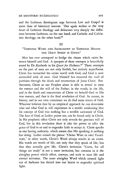and the Lutheran theologians urge between Law and Gospel is more than of historical interest. This again strikes at the very heart of Lutheran theology and delineates very sharply the difference between Lutheran, on the one hand, and Catholic and Calvinistic theology, on the other hand. $27$ 

#### III

### "THROUGH WORD AND SACRAMENT AS THROUGH MEANS THE HOLY SPIRIT IS GIVEN"

Man has ever attempted to bridge the chasm which exists between himself and God. A synopsis of these attempts is beautifully stated by Dr. Koeberle in his *Quest for Holiness.28* These attempts on the part of man are not only foolish, but entirely superfluous. Christ has reconciled the entire world with God, and God is now reconciled with all men. God Himself has removed the wall of partition through the death and resurrection of Jesus Christ. Furthermore, Christ as our Prophet alone is able to reveal to man the essence and the will of the Father; in the words, in the life, and in the death and resurrection of Christ we behold God in His true essence, and that is the final revelation of God. In nature, in history, and in our own conscience we do find some traces of God. Whoever believes that by an empirical approach he can determine who and what God is, will experience in a terrific awakening that his concept of God was nothing but a terrible caricature of God. The face of God, as Luther points out, can be found only in Christ. In His prophetic office Christ not only reveals the gracious will of God, but in this revelation there is also the power to offer the grace of God to us and to engender faith to accept it. Christ speaks as one having authority, which means that His speaking is nothing but doing. Luther coined the phrase "Christi Wort ist eitel Taetelwort," in other words, Christ's Word always results in an event. His words are words of life, not only that they speak of life, but that they actually give life. Christ's invitation "Come, for all things are ready" is not a mere invitation, but contains in it the almighty power which offers, conveys, and seals to man life and eternal salvation. The same almighty Word which created light out of darkness has shined into our hearts to engender spiritual light.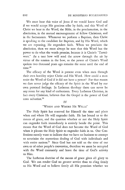We must hear this voice of Jesus if we would know God and if we would accept His gracious offer by faith, and this Word of Christ we hear in the Word, the Bible, in the proclamation, in the absolution, in the mutual encouragement of fellow Christians, and in the Sacraments. Whenever we perform a Baptism, then Christ is speaking to the candidate for Baptism, and by His Word, which we are repeating, He engenders faith. When we proclaim the absolution, then we must always be sure that this Word has the power to do what the words promise, because it is Christ's "Taetelwort." As a taut bow will send the arrow through the air by virtue of the tension in the bow, so the power of Christ's Word spoken two thousand years ago remains the same until the end of time.<sup>29</sup>

The efficacy of the Word is present even when men through their own hostility reject Christ and His Word. How could a man resist the Word of God if it did not have a power? For that reason we dare never judge the efficacy of the Spirit in the Word by our own personal feelings. In Lutheran theology there can never be any room for any kind of enthusiasm. Every Lutheran Christian, in fact every Christian, believes that the Gospel is the power of God unto salvation.<sup>30</sup>

#### IV

#### "'WHEN AND WHERE HE WILLS"

The Holy Spirit has reserved for Himself the time and place when and where He will engender faith. He has bound us to the means of grace, and the question whether or not the Holy Spirit can engender faith immediately is entirely beside the point. This means that the Word of God does not become the Word of God when it pleases the Holy Spirit to engender faith in us. Our Confessions merely want to indicate that we have no business to attempt to scrutinize the mysterious dealing of God with individuals and with entire nations.<sup>31</sup> Since God has not told us the time of our own or of other people's conversion, therefore we must be occupied with the Word constantly and leave the time of God's activity to Him.

The Lutheran doctrine of the means of grace gives all glory to God. We can render God no greater service than to cling firmly to His Word and to believe firmly all His promises whether we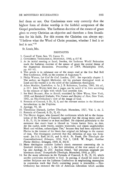feel them or not. Our Confessions state very correctly that the highest form of divine worship is the faithful acceptance of the Gospel proclamation. The Lutheran doctrine of the means of grace gives to every Christian an objective and therefore a firm foundation for his faith. For this reason the Christian can always say: "I believe what the *vi* ord of Christ promises, whether I feel it or feel it not."<sup>32</sup>

St. Louis, Mo.

#### **FOOTNOTES**

- 1. Council of Trent, Sess. VI, Canon 11.
- 2. CONCORDIA THEOLOGICAL MONTHLY, 1950, p. 617 ff.
- 3. At its initial meeting at Lund, Sweden, the Lutheran World Federation made the Lutheran doctrine of the means of grace the central theme of the dogmatical discussions. *Proceedings of* L *WF,* Philadelphia 1948, pp.  $44-61$ .
- 4. This article is in substance one of the essays read at the first Bad. Boll Free Conference, 1948, on the contents of Augustana V.
- 5. Philip Watson, *Let God Be God,* London, 1947. See especially chapter 2. The author, an English Methodist, did his graduate theological work at Lund and his treatise is in the spirit of the Lundensian theologians.
- 6. Adam Moehler, *Symbolism,* tr. by]. B. Robertson, London, 1906, 5th ed., p. 69 f. John Wesley held that a pagan can be saved if he lives according to the measure of light with which God provides him.
- 7. See Emil Brunner, *Man in Revolt*, translated by Olive Wyon, New York, 1939, and Reinhold Niebuhr, *The Nature and Destiny of Man,* New York, 1941, on Neo-Orthodoxy's view of the image of God.
- 8. Formula of Concord, S. D., II, 9, and the relevant section in the Historical Introductions in the *Triglotta.*
- 9. Apology, VI, 48.
- 10. Theodosius Harnack, *Luthers Theologie,* Muenchen, 1927, Vol. I, ch. 2.
- 11. Formula of Concord, S. D., II, 43.
- 12. The Elector August, who financed the conferences which led to the formulation of the Formula of Concord, suggested that the strong terms used in S. D., II, 19, be deleted or at least modified. He objected particularly to the statement that man's heart is likened to "einem harten Stein, so dem, der ihn ruehrt, nicht weicht, sondern widersteht, und einem ungehobelten Block und wildem, unbaendigem Tier," because they had been exploited by Flacius in the interest of his thesis that original sin belongs to the essence of man. The theologians answered that this definition of man was Scriptural: Jer. 5:3; Ezek. 36:26, and Is. 48:4. Fr. Frank, *Die Theologie der Concordienformel, Erlangen,* 1858, Vol. I, 138 ff. W. Preger, *Matthias Flacius Illyricus,* Erlangen, 1859, II, 302 ff.
- 13. Many theologians consider Luther's classic statement concerning sin in Sma1cald Articles, III, i, 1, the best definition of the true nature of sin. Cp. also Apology, II, 26 f. Joachim Iwand, "Sed peccatum originale per hominum unum," Evangelische Theologie, Muenchen, 1946, p. 26 f.
- 14. See the many references in the Formula of Concord, S. D., II, 26, which ascribe conversion exclusively to God. In passing, it should be stated that neither Scripture nor the Lutheran Confessions in emphasizing monergism in conversion teach that God's converting power is irresistible.  $-$  Neo-Orthodoxy has stemmed the tide of American Liberalism which ascribes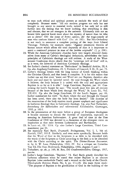to man such ethical and spiritual powers as exclude rhe work of God completely. Brunner states: "All our modern progress not only has not brought us any nearer to essential truth; indeed it has only led us still further into the feeling that we know nothing, that everything is dim and obscure, that we are strangers in the universe. Ultimately does not an honest little sparrow know more about the mystery of nature than we who are so clever? Oh! the irony of *homo sapiens,* oh! the tragi-comedy of man who confuses himself with God" *(loc. cit.* 182). But Neo-Orthodoxy is not ready to announce a complete parting of the ways from Liberal Theology. Niebuhr, for example, states: "Against pessimistic theories of human nature which affirm the total depravity of man it is important to assert a continued presence in man of the *justitia originalis"* (1, p. 296).

- 15. While the American Calvinistic churches have very largely divorced themselves from many of Calvin's theological deductions, nevertheless the basic principles of Calvinistic theology are still evident. A study of the Westminster Confession shows clearly that the "sovereign will of God" still is, as it were, the *leitmotif* of American Calvinistic theology.
- 16. See Luther's classical statement on "Enthusiasm" in Smalcald Articles, III, 8. Cp. also Augsburg Confession, 28, 3; Formula of Concord, S. D., II, par. 75.
- 17. Luther's theology breaks with the long history of Greek thinking within the Christian Church, and that break is complete. It is for this reason that Luther can say that since "water and Word are *one* Baptism, therefore also body and soul must be [jointly] saved: the soul through the Word which it believes, the body because it is united with the soul and appropriates Baptism in so far as it is able." Large Catechism, Baptism, par. 44. Concerning the Lord's Supper he says: "The mouth must live into all eternity because of the heart which lives through the Word," St. Louis Ed., Vol. XX:831. Cp. also the Large Catechism, Of the Lord's Supper, par. 68. Luther summarizes his view: "In short, where the soul through the Gospel has been saved, there also the body has been healed." The doctrine of the resurrection of the body receives much greater emphasis and significance in Lutheran theology than in Calvinistic theology. Cp. also Paul Tschackert, *Entstehung der lutherischen und reformierten Kirchenlehre,* Goettingen, 1910, p. 163 f.
- 18. In the presentation of this topic before a group of European theologians it became necessary to discuss the doctrine of inspiration, especially its meaning in American Lutheranism. A great deal of time in the Free Conference of 1948 was devoted to a discussion of the divergent views on inspiration as they exist between Lutheranism and Barthianism.
- 19. St. Louis ed., IX: 1514. Cp. also Luther's Large Catechism, Third Commandment, par. 91.
- 20. See especially Karl Barth, *Dogmatik,* Prolegomena, Vol. I, 1, 5th ed. Zuerich, 1947, 101 ff. Similarly, and even more specifically, Brunner holds that the Word of God in the Scriptures is as little to be identified with the words of the Scriptures as Christ according to the flesh is to be identified with the Christ according to the spirit. *The Divine-Human Encounter,*  tr. by A. W. Loos, Philadelphia, 1943, IV. For a critique see Cornelius Van Til, *The New Modernism,* Philadelphia, 1946, chapters 6 and 7.
- 21. Tschackert, op. cit., p. 348; M. Reu, Die Gnadenmittellehre, Chicago, 1917, *passim.*
- 22. Luther's Large Catechism, "Baptism," 74. Karl Barth greatly disturbed his Lutheran adherents when he stated that *infant* Baptism is an obscure Baptism (eine verdunkelte Taufe) and a wound on the body of the Church. *Theologische Existenz Heute,* No.4, pp. 17-28. His main thesis reads: "The purpose of Baptism is the glorification of God in the building of the